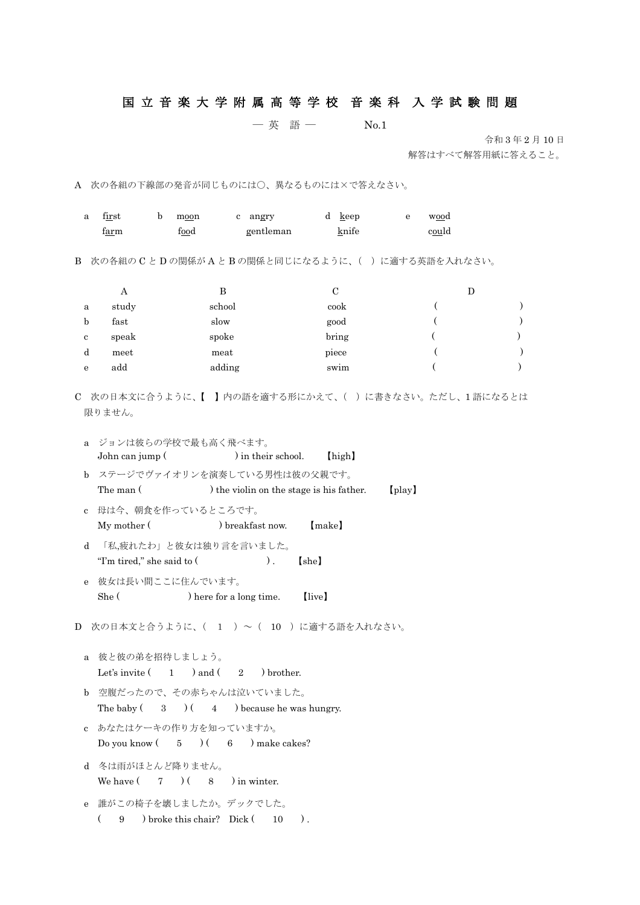## 国 立 音 楽 大 学 附 属 高 等 学 校 音 楽 科 入 学 試 験 問 題

## ― 英 語 ― No.1

令和 3 年 2 月 10 日

解答はすべて解答用紙に答えること。

A 次の各組の下線部の発音が同じものには○、異なるものには×で答えなさい。

| a                                                                                                                       | $\operatorname{first}$<br>b<br>f <u>ar</u> m                           | angry<br>moon<br>$\mathbf{c}$<br>$f_{00}d$ | $d \; \; \underline{k}$ eep<br>gentleman<br>knife | ${\bf e}$ | wood<br>could |  |  |
|-------------------------------------------------------------------------------------------------------------------------|------------------------------------------------------------------------|--------------------------------------------|---------------------------------------------------|-----------|---------------|--|--|
| 次の各組の C と D の関係が A と B の関係と同じになるように、( ) に適する英語を入れなさい。<br>B                                                              |                                                                        |                                            |                                                   |           |               |  |  |
|                                                                                                                         | $\mathcal{C}$<br>$\boldsymbol{A}$<br>$\bf{B}$<br>$\mathbf D$           |                                            |                                                   |           |               |  |  |
| a                                                                                                                       | study                                                                  | school                                     | cook                                              |           |               |  |  |
| $\mathbf b$                                                                                                             | fast                                                                   | slow                                       | good                                              |           |               |  |  |
| $\bf c$                                                                                                                 | speak                                                                  | spoke                                      | bring                                             |           |               |  |  |
| d                                                                                                                       | meet                                                                   | meat                                       | piece                                             |           |               |  |  |
| ${\bf e}$                                                                                                               | add                                                                    | adding                                     | swim                                              |           |               |  |  |
| C 次の日本文に合うように、【 】内の語を適する形にかえて、( )に書きなさい。ただし、1語になるとは<br>限りません。<br>ジョンは彼らの学校で最も高く飛べます。<br>a                               |                                                                        |                                            |                                                   |           |               |  |  |
| ) in their school.<br>John can jump (<br>[high]                                                                         |                                                                        |                                            |                                                   |           |               |  |  |
| ステージでヴァイオリンを演奏している男性は彼の父親です。<br>$\mathbf b$<br>The man (<br>) the violin on the stage is his father.<br>$[\text{play}]$ |                                                                        |                                            |                                                   |           |               |  |  |
| $\mathbf{c}$                                                                                                            | My mother (                                                            | 母は今、朝食を作っているところです。<br>) breakfast now.     | [make]                                            |           |               |  |  |
| 「私,疲れたわ」と彼女は独り言を言いました。<br>$\mathbf d$<br>"I'm tired," she said to (<br>[she]<br>).                                      |                                                                        |                                            |                                                   |           |               |  |  |
| $\mathbf{e}$                                                                                                            | 彼女は長い間ここに住んでいます。                                                       |                                            |                                                   |           |               |  |  |
|                                                                                                                         | She (                                                                  | ) here for a long time.                    | (live)                                            |           |               |  |  |
| D 次の日本文と合うように、( 1 )~ ( 10 )に適する語を入れなさい。                                                                                 |                                                                        |                                            |                                                   |           |               |  |  |
| a.                                                                                                                      | 彼と彼の弟を招待しましょう。                                                         | Let's invite $(1)$ and $(2)$ brother.      |                                                   |           |               |  |  |
| <sub>b</sub>                                                                                                            | 空腹だったので、その赤ちゃんは泣いていました。<br>The baby $(3)$ $(4)$ because he was hungry. |                                            |                                                   |           |               |  |  |
| $\mathbf{c}$                                                                                                            | あなたはケーキの作り方を知っていますか。<br>Do you know $(5)$ $(6)$ make cakes?            |                                            |                                                   |           |               |  |  |
| d                                                                                                                       | 冬は雨がほとんど降りません。<br>We have $(7)$ $(8)$ in winter.                       |                                            |                                                   |           |               |  |  |
| $\mathbf{e}$                                                                                                            | 誰がこの椅子を壊しましたか。デックでした。<br>9 broke this chair? Dick $(10)$ .<br>$\left($ |                                            |                                                   |           |               |  |  |